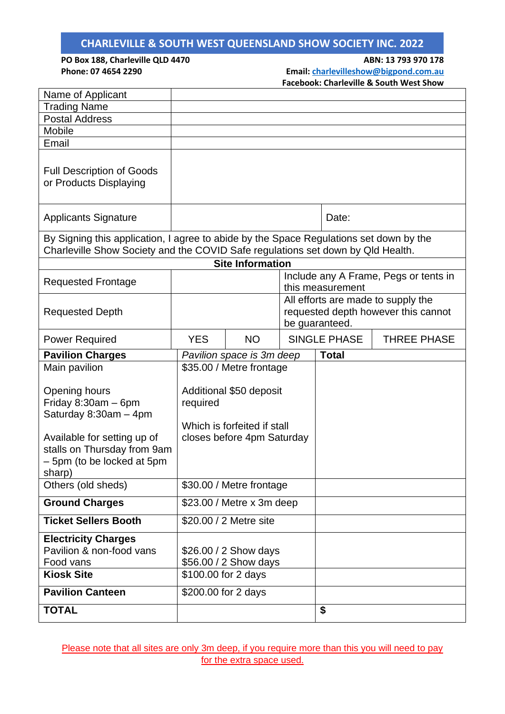**PO Box 188, Charleville QLD 4470 ABN: 13 793 970 178 Phone: 07 4654 2290 Email: [charlevilleshow@bigpond.com.au](mailto:charlevilleshow@bigpond.com.au)**

**Facebook: Charleville & South West Show**

| Name of Applicant                                                                                                                                                         |                                                                                                  |                         |  |                                                                                             |                    |
|---------------------------------------------------------------------------------------------------------------------------------------------------------------------------|--------------------------------------------------------------------------------------------------|-------------------------|--|---------------------------------------------------------------------------------------------|--------------------|
| <b>Trading Name</b>                                                                                                                                                       |                                                                                                  |                         |  |                                                                                             |                    |
| <b>Postal Address</b>                                                                                                                                                     |                                                                                                  |                         |  |                                                                                             |                    |
| Mobile                                                                                                                                                                    |                                                                                                  |                         |  |                                                                                             |                    |
| Email                                                                                                                                                                     |                                                                                                  |                         |  |                                                                                             |                    |
| <b>Full Description of Goods</b><br>or Products Displaying                                                                                                                |                                                                                                  |                         |  |                                                                                             |                    |
| <b>Applicants Signature</b>                                                                                                                                               |                                                                                                  |                         |  | Date:                                                                                       |                    |
| By Signing this application, I agree to abide by the Space Regulations set down by the<br>Charleville Show Society and the COVID Safe regulations set down by Qld Health. |                                                                                                  |                         |  |                                                                                             |                    |
|                                                                                                                                                                           |                                                                                                  | <b>Site Information</b> |  |                                                                                             |                    |
| <b>Requested Frontage</b>                                                                                                                                                 |                                                                                                  |                         |  | Include any A Frame, Pegs or tents in<br>this measurement                                   |                    |
| <b>Requested Depth</b>                                                                                                                                                    |                                                                                                  |                         |  | All efforts are made to supply the<br>requested depth however this cannot<br>be guaranteed. |                    |
| <b>Power Required</b>                                                                                                                                                     | <b>YES</b>                                                                                       | <b>NO</b>               |  | SINGLE PHASE                                                                                | <b>THREE PHASE</b> |
| <b>Pavilion Charges</b>                                                                                                                                                   | Pavilion space is 3m deep                                                                        |                         |  | <b>Total</b>                                                                                |                    |
| Main pavilion                                                                                                                                                             | \$35.00 / Metre frontage                                                                         |                         |  |                                                                                             |                    |
| Opening hours<br>Friday $8:30am - 6pm$<br>Saturday 8:30am - 4pm<br>Available for setting up of<br>stalls on Thursday from 9am<br>- 5pm (to be locked at 5pm               | Additional \$50 deposit<br>required<br>Which is forfeited if stall<br>closes before 4pm Saturday |                         |  |                                                                                             |                    |
| sharp)                                                                                                                                                                    |                                                                                                  |                         |  |                                                                                             |                    |
| Others (old sheds)                                                                                                                                                        | \$30.00 / Metre frontage                                                                         |                         |  |                                                                                             |                    |
| <b>Ground Charges</b>                                                                                                                                                     | \$23.00 / Metre x 3m deep                                                                        |                         |  |                                                                                             |                    |
| <b>Ticket Sellers Booth</b>                                                                                                                                               | \$20.00 / 2 Metre site                                                                           |                         |  |                                                                                             |                    |
| <b>Electricity Charges</b><br>Pavilion & non-food vans<br>Food vans<br><b>Kiosk Site</b>                                                                                  | \$26.00 / 2 Show days<br>\$56.00 / 2 Show days<br>\$100.00 for 2 days                            |                         |  |                                                                                             |                    |
| <b>Pavilion Canteen</b>                                                                                                                                                   | \$200.00 for 2 days                                                                              |                         |  |                                                                                             |                    |
| <b>TOTAL</b>                                                                                                                                                              |                                                                                                  |                         |  | \$                                                                                          |                    |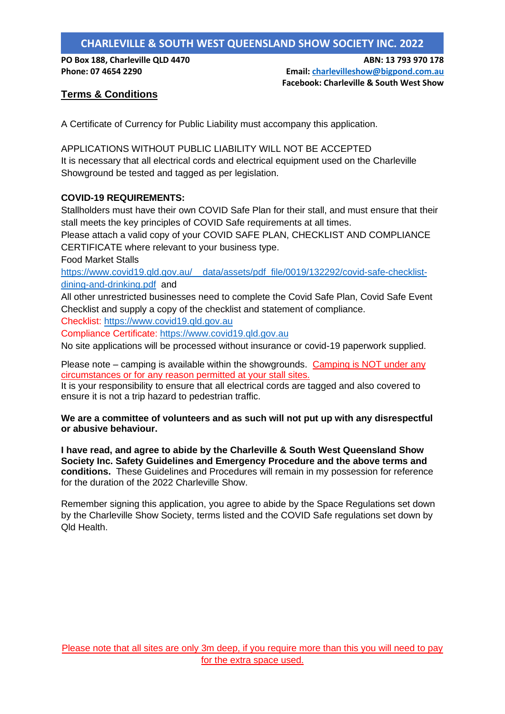**PO Box 188, Charleville QLD 4470 ABN: 13 793 970 178 Phone: 07 4654 2290 Email: [charlevilleshow@bigpond.com.au](mailto:charlevilleshow@bigpond.com.au) Facebook: Charleville & South West Show**

### **Terms & Conditions**

A Certificate of Currency for Public Liability must accompany this application.

APPLICATIONS WITHOUT PUBLIC LIABILITY WILL NOT BE ACCEPTED It is necessary that all electrical cords and electrical equipment used on the Charleville Showground be tested and tagged as per legislation.

#### **COVID-19 REQUIREMENTS:**

Stallholders must have their own COVID Safe Plan for their stall, and must ensure that their stall meets the key principles of COVID Safe requirements at all times.

Please attach a valid copy of your COVID SAFE PLAN, CHECKLIST AND COMPLIANCE CERTIFICATE where relevant to your business type.

Food Market Stalls

[https://www.covid19.qld.gov.au/\\_\\_data/assets/pdf\\_file/0019/132292/covid-safe-checklist](https://www.covid19.qld.gov.au/__data/assets/pdf_file/0019/132292/covid-safe-checklist-dining-and-drinking.pdf)[dining-and-drinking.pdf](https://www.covid19.qld.gov.au/__data/assets/pdf_file/0019/132292/covid-safe-checklist-dining-and-drinking.pdf) and

All other unrestricted businesses need to complete the Covid Safe Plan, Covid Safe Event Checklist and supply a copy of the checklist and statement of compliance.

Checklist: [https://www.covid19.qld.gov.au](https://www.covid19.qld.gov.au/)

Compliance Certificate: [https://www.covid19.qld.gov.au](https://www.covid19.qld.gov.au/)

No site applications will be processed without insurance or covid-19 paperwork supplied.

Please note – camping is available within the showgrounds. Camping is NOT under any circumstances or for any reason permitted at your stall sites.

It is your responsibility to ensure that all electrical cords are tagged and also covered to ensure it is not a trip hazard to pedestrian traffic.

**We are a committee of volunteers and as such will not put up with any disrespectful or abusive behaviour.** 

**I have read, and agree to abide by the Charleville & South West Queensland Show Society Inc. Safety Guidelines and Emergency Procedure and the above terms and conditions.** These Guidelines and Procedures will remain in my possession for reference for the duration of the 2022 Charleville Show.

Remember signing this application, you agree to abide by the Space Regulations set down by the Charleville Show Society, terms listed and the COVID Safe regulations set down by Qld Health.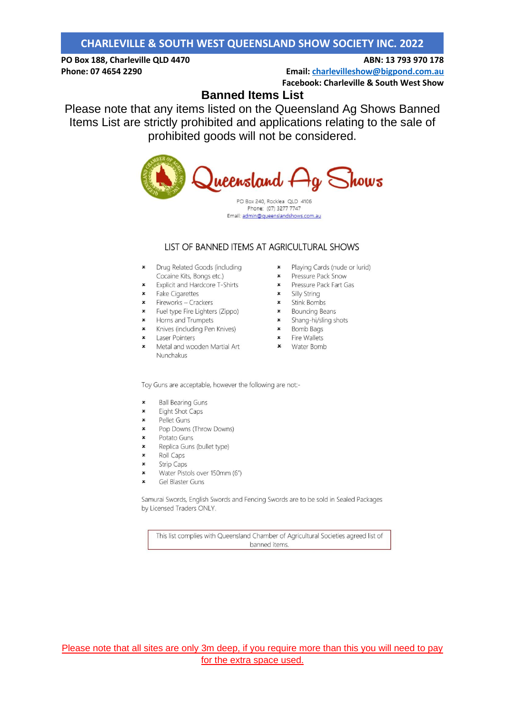#### PO Box 188, Charleville QLD 4470 Phone: 07 4654 2290

Email: charlevilleshow@bigpond.com.au **Facebook: Charleville & South West Show** 

ABN: 13 793 970 178

## **Banned Items List**

Please note that any items listed on the Queensland Ag Shows Banned Items List are strictly prohibited and applications relating to the sale of prohibited goods will not be considered.



PO Box 240, Rocklea QLD 4106 Phone: (07) 3277 7747 Email: admin@queenslandshows.com.au

#### LIST OF BANNED ITEMS AT AGRICULTURAL SHOWS

- x Drug Related Goods (including End explicit and Hardcore T-Shirts<br>
x Explicit and Hardcore T-Shirts<br>
x Fake Cigarettes<br>
x Fireworks – Crackers<br>
x Fuel type Fire Lighters (Zippo)
- 
- 
- 
- 
- x<br>
Horns and Trumpets<br>
x<br>
Knives (including Pen Knives)<br>
x<br>
Laser Pointers
- 
- 
- Metal and wooden Martial Art **x** Water Bomb Nunchakus
- - × Playing Cards (nude or lurid)
	- $\boldsymbol{\varkappa}$ Pressure Pack Snow
	- **x** Pressure Pack Fart Gas<br> **x** Silly String
		-
		- × Stink Bombs
	- × Bouncing Beans
	- sainting beans<br>
	Shang-hi/sling shots<br>
	x Bomb Bags<br>
	x Fire Wallets
		-
		-
		-

Toy Guns are acceptable, however the following are not:-

- $\pmb{\times}$ **Ball Bearing Guns**
- $\boldsymbol{\mathsf{x}}$ **Eight Shot Caps**
- Pellet Guns  $\boldsymbol{\mathsf{x}}$
- $\pmb{\times}$ Pop Downs (Throw Downs)
- $\pmb{\times}$ Potato Guns
- Replica Guns (bullet type)  $\pmb{\times}$
- Roll Caps  $\boldsymbol{\mathsf{x}}$
- $\boldsymbol{\mathsf{x}}$ **Strip Caps**
- $\mathbf{x}$ Water Pistols over 150mm (6")
- Gel Blaster Guns  $\boldsymbol{\mathsf{x}}$

Samurai Swords, English Swords and Fencing Swords are to be sold in Sealed Packages by Licensed Traders ONLY.

This list complies with Queensland Chamber of Agricultural Societies agreed list of banned items.